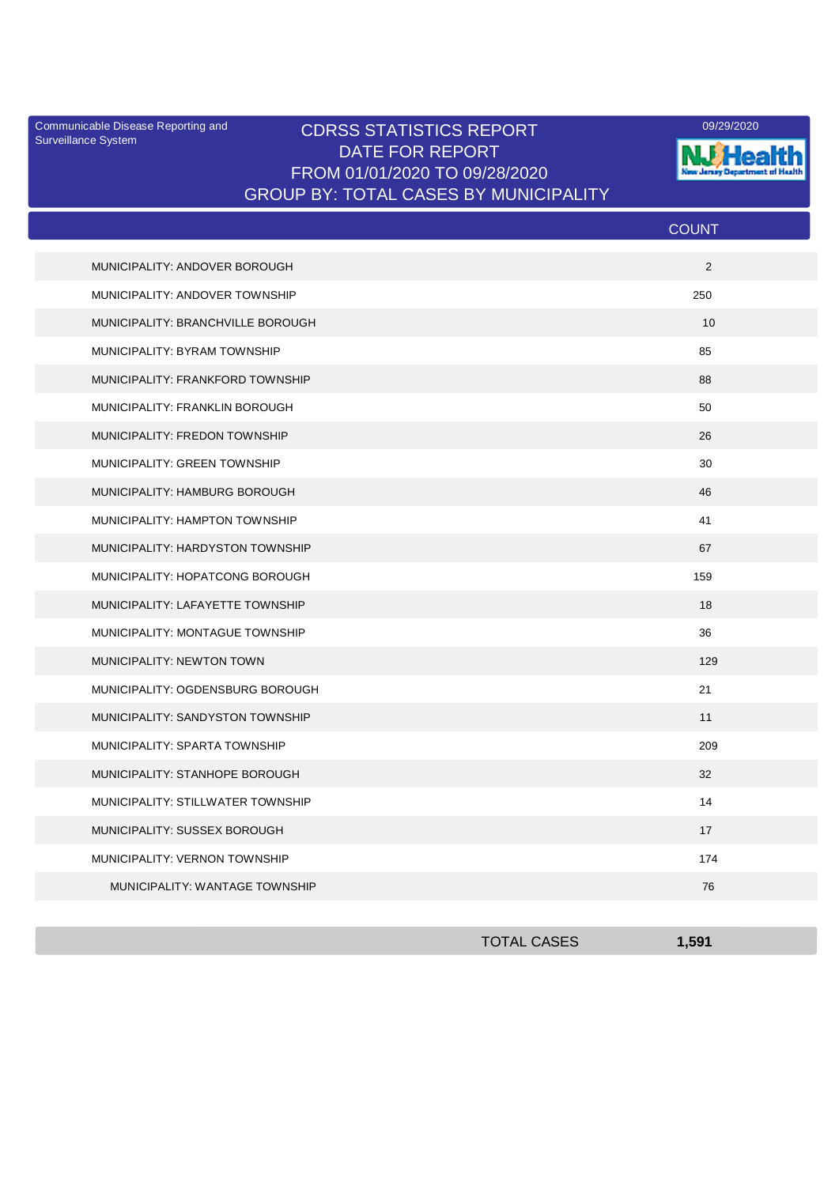Surveillance System

## Communicable Disease Reporting and CDRSS STATISTICS REPORT **COMMUNICAL COMMUNICATION** DATE FOR REPORT FROM 01/01/2020 TO 09/28/2020 GROUP BY: TOTAL CASES BY MUNICIPALITY



|                                   | <b>COUNT</b> |  |
|-----------------------------------|--------------|--|
| MUNICIPALITY: ANDOVER BOROUGH     | 2            |  |
| MUNICIPALITY: ANDOVER TOWNSHIP    | 250          |  |
| MUNICIPALITY: BRANCHVILLE BOROUGH | 10           |  |
| MUNICIPALITY: BYRAM TOWNSHIP      | 85           |  |
| MUNICIPALITY: FRANKFORD TOWNSHIP  | 88           |  |
| MUNICIPALITY: FRANKLIN BOROUGH    | 50           |  |
| MUNICIPALITY: FREDON TOWNSHIP     | 26           |  |
| MUNICIPALITY: GREEN TOWNSHIP      | 30           |  |
| MUNICIPALITY: HAMBURG BOROUGH     | 46           |  |
| MUNICIPALITY: HAMPTON TOWNSHIP    | 41           |  |
| MUNICIPALITY: HARDYSTON TOWNSHIP  | 67           |  |
| MUNICIPALITY: HOPATCONG BOROUGH   | 159          |  |
| MUNICIPALITY: LAFAYETTE TOWNSHIP  | 18           |  |
| MUNICIPALITY: MONTAGUE TOWNSHIP   | 36           |  |
| MUNICIPALITY: NEWTON TOWN         | 129          |  |
| MUNICIPALITY: OGDENSBURG BOROUGH  | 21           |  |
| MUNICIPALITY: SANDYSTON TOWNSHIP  | 11           |  |
| MUNICIPALITY: SPARTA TOWNSHIP     | 209          |  |
| MUNICIPALITY: STANHOPE BOROUGH    | 32           |  |
| MUNICIPALITY: STILLWATER TOWNSHIP | 14           |  |
| MUNICIPALITY: SUSSEX BOROUGH      | 17           |  |
| MUNICIPALITY: VERNON TOWNSHIP     | 174          |  |
| MUNICIPALITY: WANTAGE TOWNSHIP    | 76           |  |

| <b>TOTAL CASES</b> | 1501 |
|--------------------|------|
|                    |      |